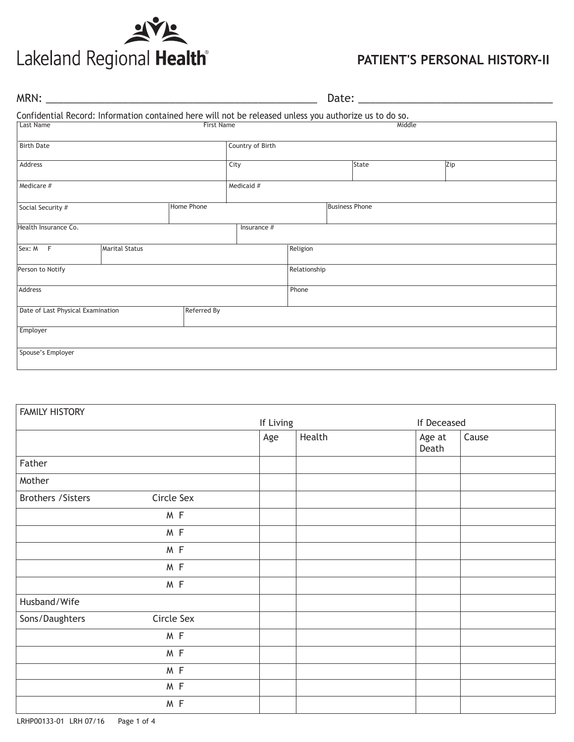

# **PATIENT'S PERSONAL HISTORY-II**

|                                                                                                        |                |                   |                  |              | Date: __________      |        |     |  |
|--------------------------------------------------------------------------------------------------------|----------------|-------------------|------------------|--------------|-----------------------|--------|-----|--|
| Confidential Record: Information contained here will not be released unless you authorize us to do so. |                |                   |                  |              |                       |        |     |  |
| <b>Last Name</b>                                                                                       |                | <b>First Name</b> |                  |              |                       | Middle |     |  |
| <b>Birth Date</b>                                                                                      |                |                   | Country of Birth |              |                       |        |     |  |
| Address                                                                                                |                |                   | City             |              | State                 |        | Zip |  |
| Medicare #                                                                                             |                |                   | Medicaid #       |              |                       |        |     |  |
| Social Security #                                                                                      |                | Home Phone        |                  |              | <b>Business Phone</b> |        |     |  |
| Health Insurance Co.                                                                                   |                |                   | Insurance #      |              |                       |        |     |  |
| Sex: M F                                                                                               | Marital Status |                   |                  | Religion     |                       |        |     |  |
| Person to Notify                                                                                       |                |                   |                  | Relationship |                       |        |     |  |
| Address                                                                                                |                |                   |                  | Phone        |                       |        |     |  |
| Date of Last Physical Examination                                                                      |                | Referred By       |                  |              |                       |        |     |  |
| Employer                                                                                               |                |                   |                  |              |                       |        |     |  |
| Spouse's Employer                                                                                      |                |                   |                  |              |                       |        |     |  |

| <b>FAMILY HISTORY</b> |            |           |        |                 |       |
|-----------------------|------------|-----------|--------|-----------------|-------|
|                       |            | If Living |        | If Deceased     |       |
|                       |            | Age       | Health | Age at<br>Death | Cause |
| Father                |            |           |        |                 |       |
| Mother                |            |           |        |                 |       |
| Brothers / Sisters    | Circle Sex |           |        |                 |       |
|                       | M F        |           |        |                 |       |
|                       | M F        |           |        |                 |       |
|                       | M F        |           |        |                 |       |
|                       | M F        |           |        |                 |       |
|                       | M F        |           |        |                 |       |
| Husband/Wife          |            |           |        |                 |       |
| Sons/Daughters        | Circle Sex |           |        |                 |       |
|                       | M F        |           |        |                 |       |
|                       | M F        |           |        |                 |       |
|                       | M F        |           |        |                 |       |
|                       | M F        |           |        |                 |       |
|                       | M F        |           |        |                 |       |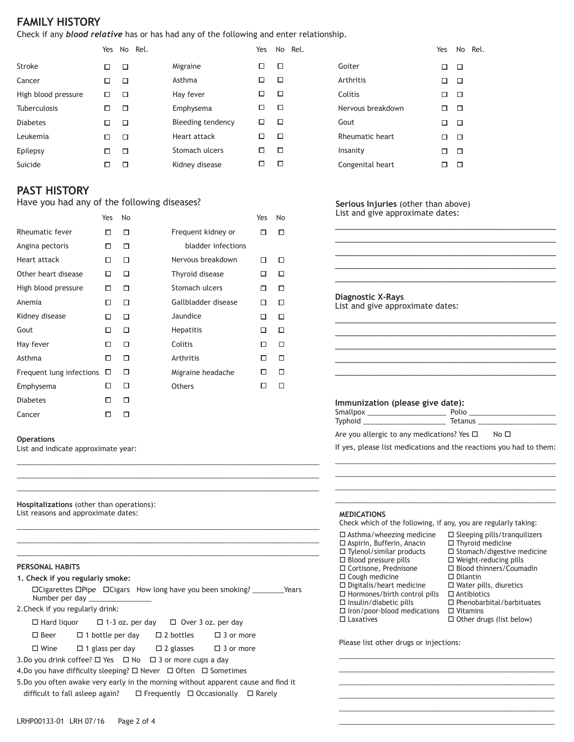# **FAMILY HISTORY**

Check if any *blood relative* has or has had any of the following and enter relationship.

|   |   |                   | Yes |   | No Rel. |
|---|---|-------------------|-----|---|---------|
| □ | □ | Migraine          |     | □ |         |
|   | □ | Asthma            |     | п |         |
| □ | □ | Hay fever         |     | п |         |
| П | □ | Emphysema         | ப   | п |         |
| П | □ | Bleeding tendency | ப   | □ |         |
| П | □ | Heart attack      |     | п |         |
|   | □ | Stomach ulcers    |     | п |         |
|   | П | Kidney disease    |     |   |         |
|   |   | Yes No Rel.       |     |   |         |

# **PAST HISTORY**

Have you had any of the following diseases?

|                          | Yes | No |                     | Yes | No |
|--------------------------|-----|----|---------------------|-----|----|
| Rheumatic fever          | п   | п  | Frequent kidney or  | П   | П  |
| Angina pectoris          | □   | □  | bladder infections  |     |    |
| Heart attack             | □   | □  | Nervous breakdown   | п   | П  |
| Other heart disease      | ◻   | □  | Thyroid disease     | п   | п  |
| High blood pressure      | п   | □  | Stomach ulcers      | П   | п  |
| Anemia                   | □   | □  | Gallbladder disease | □   | п  |
| Kidney disease           | П   | п  | Jaundice            | п   | п  |
| Gout                     | □   | п  | <b>Hepatitis</b>    | п   | П  |
| Hay fever                | □   | □  | Colitis             | □   | □  |
| Asthma                   | П   | П  | Arthritis           | П   | п  |
| Frequent lung infections | □   | □  | Migraine headache   | П   | п  |
| Emphysema                | □   | п  | Others              | П   | п  |
| <b>Diabetes</b>          | □   | □  |                     |     |    |
| Cancer                   | п   | □  |                     |     |    |

|                   |   |   | Yes No Rel. |
|-------------------|---|---|-------------|
| Goiter            | п | П |             |
| Arthritis         | □ | □ |             |
| Colitis           | п | П |             |
| Nervous breakdown | П | п |             |
| Gout              | п | П |             |
| Rheumatic heart   | П | П |             |
| Insanity          | п | П |             |
| Congenital heart  |   |   |             |

#### **Serious Injuries** (other than above) List and give approximate dates:

| <b>Diagnostic X-Rays</b>         |  |
|----------------------------------|--|
| List and give approximate dates: |  |
|                                  |  |
|                                  |  |

\_\_\_\_\_\_\_\_\_\_\_\_\_\_\_\_\_\_\_\_\_\_\_\_\_\_\_\_\_\_\_\_\_\_\_\_\_\_\_\_\_\_\_\_\_

### **Immunization (please give date):**

| Smallpox |         |
|----------|---------|
| Typhoid  | Tetanus |
|          |         |

Are you allergic to any medications? Yes  $\square$  No  $\square$ 

If yes, please list medications and the reactions you had to them: \_\_\_\_\_\_\_\_\_\_\_\_\_\_\_\_\_\_\_\_\_\_\_\_\_\_\_\_\_\_\_\_\_\_\_\_\_\_\_\_\_\_\_\_\_\_\_\_\_\_\_\_\_\_\_\_\_\_\_\_\_\_\_\_\_\_\_\_\_\_\_\_\_

\_\_\_\_\_\_\_\_\_\_\_\_\_\_\_\_\_\_\_\_\_\_\_\_\_\_\_\_\_\_\_\_\_\_\_\_\_\_\_\_\_\_\_\_\_\_\_\_\_\_\_\_\_\_\_\_\_\_\_\_\_\_\_\_\_\_\_\_\_\_\_\_\_ \_\_\_\_\_\_\_\_\_\_\_\_\_\_\_\_\_\_\_\_\_\_\_\_\_\_\_\_\_\_\_\_\_\_\_\_\_\_\_\_\_\_\_\_\_\_\_\_\_\_\_\_\_\_\_\_\_\_\_\_\_\_\_\_\_\_\_\_\_\_\_\_\_ \_\_\_\_\_\_\_\_\_\_\_\_\_\_\_\_\_\_\_\_\_\_\_\_\_\_\_\_\_\_\_\_\_\_\_\_\_\_\_\_\_\_\_\_\_\_\_\_\_\_\_\_\_\_\_\_\_\_\_\_\_\_\_\_\_\_\_\_\_\_\_\_\_

**Hospitalizations** (other than operations): List reasons and approximate dates:

List and indicate approximate year:

#### **PERSONAL HABITS**

**Operations**

|                                  | 1. Check if you regularly smoke:                                                                                               |  |  |  |  |
|----------------------------------|--------------------------------------------------------------------------------------------------------------------------------|--|--|--|--|
|                                  | $\Box$ Cigarettes $\Box$ Pipe $\Box$ Cigars How long have you been smoking? $\Box$ Years<br>Number per day                     |  |  |  |  |
| 2. Check if you regularly drink: |                                                                                                                                |  |  |  |  |
|                                  | $\Box$ Hard liquor $\Box$ 1-3 oz. per day $\Box$ Over 3 oz. per day                                                            |  |  |  |  |
|                                  | $\Box$ Beer $\Box$ 1 bottle per day $\Box$ 2 bottles $\Box$ 3 or more                                                          |  |  |  |  |
| $\Box$ Wine                      | $\Box$ 1 glass per day $\Box$ 2 glasses $\Box$ 3 or more                                                                       |  |  |  |  |
|                                  | 3. Do you drink coffee? $\Box$ Yes $\Box$ No $\Box$ 3 or more cups a day                                                       |  |  |  |  |
|                                  | $\overline{A}$ Denote being difficulty decomposition $\overline{B}$ Mensenger $\overline{B}$ Often $\overline{B}$ Constitution |  |  |  |  |

\_\_\_\_\_\_\_\_\_\_\_\_\_\_\_\_\_\_\_\_\_\_\_\_\_\_\_\_\_\_\_\_\_\_\_\_\_\_\_\_\_\_\_\_\_\_\_\_\_\_\_\_\_\_\_\_\_\_\_\_\_\_\_\_\_\_\_\_\_\_\_\_\_\_\_\_\_ \_\_\_\_\_\_\_\_\_\_\_\_\_\_\_\_\_\_\_\_\_\_\_\_\_\_\_\_\_\_\_\_\_\_\_\_\_\_\_\_\_\_\_\_\_\_\_\_\_\_\_\_\_\_\_\_\_\_\_\_\_\_\_\_\_\_\_\_\_\_\_\_\_\_\_\_\_ \_\_\_\_\_\_\_\_\_\_\_\_\_\_\_\_\_\_\_\_\_\_\_\_\_\_\_\_\_\_\_\_\_\_\_\_\_\_\_\_\_\_\_\_\_\_\_\_\_\_\_\_\_\_\_\_\_\_\_\_\_\_\_\_\_\_\_\_\_\_\_\_\_\_\_\_\_

\_\_\_\_\_\_\_\_\_\_\_\_\_\_\_\_\_\_\_\_\_\_\_\_\_\_\_\_\_\_\_\_\_\_\_\_\_\_\_\_\_\_\_\_\_\_\_\_\_\_\_\_\_\_\_\_\_\_\_\_\_\_\_\_\_\_\_\_\_\_\_\_\_\_\_\_\_ \_\_\_\_\_\_\_\_\_\_\_\_\_\_\_\_\_\_\_\_\_\_\_\_\_\_\_\_\_\_\_\_\_\_\_\_\_\_\_\_\_\_\_\_\_\_\_\_\_\_\_\_\_\_\_\_\_\_\_\_\_\_\_\_\_\_\_\_\_\_\_\_\_\_\_\_\_ \_\_\_\_\_\_\_\_\_\_\_\_\_\_\_\_\_\_\_\_\_\_\_\_\_\_\_\_\_\_\_\_\_\_\_\_\_\_\_\_\_\_\_\_\_\_\_\_\_\_\_\_\_\_\_\_\_\_\_\_\_\_\_\_\_\_\_\_\_\_\_\_\_\_\_\_\_

4. Do you have difficulty sleeping?  $\Box$  Never  $\Box$  Often  $\Box$  Sometimes

5.Do you often awake very early in the morning without apparent cause and find it difficult to fall asleep again?  $\square$  Frequently  $\square$  Occasionally  $\square$  Rarely

#### **MEDICATIONS**

Check which of the following, if any, you are regularly taking:

- $\square$  Asthma/wheezing medicine o Aspirin, Bufferin, Anacin  $\square$  Tylenol/similar products  $\square$  Blood pressure pills □ Cortisone, Prednisone  $\square$  Cough medicine  $\square$  Digitalis/heart medicine  $\square$  Hormones/birth control pills  $\square$  Insulin/diabetic pills  $\square$  Iron/poor-blood medications  $\square$  Laxatives
	- $\square$  Sleeping pills/tranquilizers  $\Box$  Thyroid medicine
		- $\square$  Stomach/digestive medicine
		- $\square$  Weight-reducing pills □ Blood thinners/Coumadin
		- $\square$  Dilantin
		- $\square$  Water pills, diuretics
		- $\square$  Antibiotics

\_\_\_\_\_\_\_\_\_\_\_\_\_\_\_\_\_\_\_\_\_\_\_\_\_\_\_\_\_\_\_\_\_\_\_\_\_\_\_\_\_\_\_\_\_\_\_\_\_\_\_\_\_\_\_\_\_\_\_\_\_ \_\_\_\_\_\_\_\_\_\_\_\_\_\_\_\_\_\_\_\_\_\_\_\_\_\_\_\_\_\_\_\_\_\_\_\_\_\_\_\_\_\_\_\_\_\_\_\_\_\_\_\_\_\_\_\_\_\_\_\_\_  $\mathcal{L}_\text{max}$  , and the contribution of the contribution of the contribution of the contribution of the contribution of the contribution of the contribution of the contribution of the contribution of the contribution of t \_\_\_\_\_\_\_\_\_\_\_\_\_\_\_\_\_\_\_\_\_\_\_\_\_\_\_\_\_\_\_\_\_\_\_\_\_\_\_\_\_\_\_\_\_\_\_\_\_\_\_\_\_\_\_\_\_\_\_\_\_ \_\_\_\_\_\_\_\_\_\_\_\_\_\_\_\_\_\_\_\_\_\_\_\_\_\_\_\_\_\_\_\_\_\_\_\_\_\_\_\_\_\_\_\_\_\_\_\_\_\_\_\_\_\_\_\_\_\_\_\_\_  $\mathcal{L}_\text{max}$  , and the contribution of the contribution of the contribution of the contribution of the contribution of the contribution of the contribution of the contribution of the contribution of the contribution of t

- $\square$  Phenobarbital/barbituates
- $\square$  Vitamins
- $\square$  Other drugs (list below)

Please list other drugs or injections: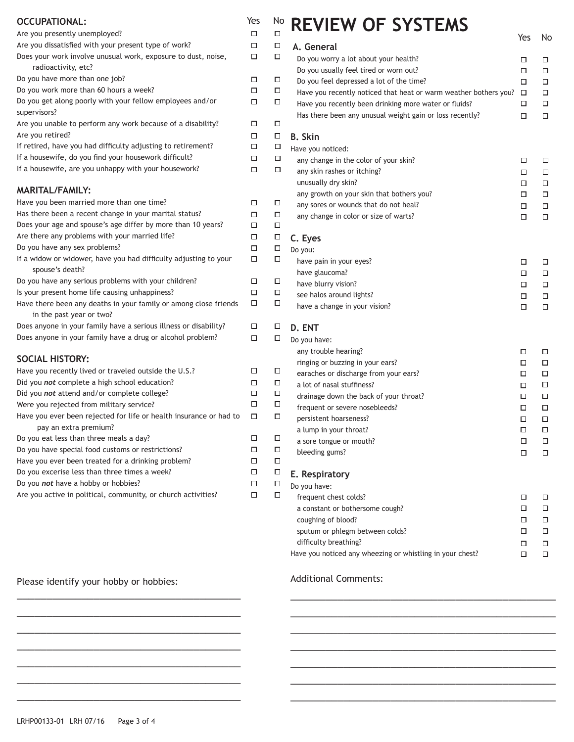| <b>OCCUPATIONAL:</b>                                                                         | Yes    |
|----------------------------------------------------------------------------------------------|--------|
| Are you presently unemployed?                                                                | □      |
| Are you dissatisfied with your present type of work?                                         | □      |
| Does your work involve unusual work, exposure to dust, noise,<br>radioactivity, etc?         | □      |
| Do you have more than one job?                                                               | ◻      |
| Do you work more than 60 hours a week?                                                       | ◻      |
| Do you get along poorly with your fellow employees and/or<br>supervisors?                    | ◻      |
| Are you unable to perform any work because of a disability?<br>Are you retired?              | □<br>□ |
| If retired, have you had difficulty adjusting to retirement?                                 | □      |
| If a housewife, do you find your housework difficult?                                        | □      |
| If a housewife, are you unhappy with your housework?                                         | □      |
| <b>MARITAL/FAMILY:</b>                                                                       |        |
| Have you been married more than one time?                                                    | □      |
| Has there been a recent change in your marital status?                                       | □      |
| Does your age and spouse's age differ by more than 10 years?                                 | □      |
| Are there any problems with your married life?                                               | □      |
| Do you have any sex problems?                                                                | □      |
| If a widow or widower, have you had difficulty adjusting to your<br>spouse's death?          | □      |
| Do you have any serious problems with your children?                                         | □      |
| Is your present home life causing unhappiness?                                               | □      |
| Have there been any deaths in your family or among close friends<br>in the past year or two? | ◻      |
| Does anyone in your family have a serious illness or disability?                             | □      |
| Does anyone in your family have a drug or alcohol problem?                                   | □      |
| <b>SOCIAL HISTORY:</b>                                                                       |        |
| Have you recently lived or traveled outside the U.S.?                                        | □      |
| Did you not complete a high school education?                                                | □      |
| Did you not attend and/or complete college?                                                  | □      |
| Were you rejected from military service?                                                     | □      |
| Have you ever been rejected for life or health insurance or had to<br>pay an extra premium?  | □      |
| Do you eat less than three meals a day?                                                      | □      |
| Do you have special food customs or restrictions?                                            | п      |
| Have you ever been treated for a drinking problem?                                           | □      |
| Do you excerise less than three times a week?                                                | □      |
| Do you not have a hobby or hobbies?                                                          | ◻      |
| Are you active in political, community, or church activities?                                | □      |

### Please identify your hobby or hobbies:

\_\_\_\_\_\_\_\_\_\_\_\_\_\_\_\_\_\_\_\_\_\_\_\_\_\_\_\_\_\_\_\_\_\_\_\_\_\_ \_\_\_\_\_\_\_\_\_\_\_\_\_\_\_\_\_\_\_\_\_\_\_\_\_\_\_\_\_\_\_\_\_\_\_\_\_\_ \_\_\_\_\_\_\_\_\_\_\_\_\_\_\_\_\_\_\_\_\_\_\_\_\_\_\_\_\_\_\_\_\_\_\_\_\_\_ \_\_\_\_\_\_\_\_\_\_\_\_\_\_\_\_\_\_\_\_\_\_\_\_\_\_\_\_\_\_\_\_\_\_\_\_\_\_ \_\_\_\_\_\_\_\_\_\_\_\_\_\_\_\_\_\_\_\_\_\_\_\_\_\_\_\_\_\_\_\_\_\_\_\_\_\_ \_\_\_\_\_\_\_\_\_\_\_\_\_\_\_\_\_\_\_\_\_\_\_\_\_\_\_\_\_\_\_\_\_\_\_\_\_\_ \_\_\_\_\_\_\_\_\_\_\_\_\_\_\_\_\_\_\_\_\_\_\_\_\_\_\_\_\_\_\_\_\_\_\_\_\_\_

| □      |                                                                     | Yes    | No     |
|--------|---------------------------------------------------------------------|--------|--------|
| □      | A. General                                                          |        |        |
| □      | Do you worry a lot about your health?                               | □      | □      |
|        | Do you usually feel tired or worn out?                              | □      | ◻      |
| □      | Do you feel depressed a lot of the time?                            | □      | □      |
| □      | Have you recently noticed that heat or warm weather bothers you?    | □      | □      |
| □      | Have you recently been drinking more water or fluids?               | □      | □      |
|        | Has there been any unusual weight gain or loss recently?            | □      | □      |
| □      |                                                                     |        |        |
| □      | <b>B.</b> Skin                                                      |        |        |
| □      | Have you noticed:                                                   |        |        |
| □      | any change in the color of your skin?                               | □      | □      |
| □      | any skin rashes or itching?                                         | □      | □      |
|        | unusually dry skin?                                                 | □      | □      |
|        | any growth on your skin that bothers you?                           | □      | □      |
| □      | any sores or wounds that do not heal?                               | □      | □      |
| □<br>□ | any change in color or size of warts?                               | □      | □      |
| □      | C. Eyes                                                             |        |        |
| $\Box$ | Do you:                                                             |        |        |
| □      | have pain in your eyes?                                             | □      | □      |
|        | have glaucoma?                                                      | □      | □      |
| □      | have blurry vision?                                                 | □      | □      |
| □      | see halos around lights?                                            | □      | □      |
| □      | have a change in your vision?                                       | □      | □      |
| □      |                                                                     |        |        |
| □      | D. ENT                                                              |        |        |
|        | Do you have:                                                        |        |        |
|        | any trouble hearing?                                                | □      | □      |
| □      | ringing or buzzing in your ears?                                    | □      | ◻      |
| □      | earaches or discharge from your ears?<br>a lot of nasal stuffiness? | □      | □      |
| □      | drainage down the back of your throat?                              | □      | □      |
| □      | frequent or severe nosebleeds?                                      | □      | □      |
| □      | persistent hoarseness?                                              | □      | ◻      |
|        | a lump in your throat?                                              | □<br>□ | □<br>□ |
| □      | a sore tongue or mouth?                                             | □      | □      |
| □      | bleeding gums?                                                      |        |        |
| □      |                                                                     | □      | $\Box$ |
| $\Box$ | E. Respiratory                                                      |        |        |
| $\Box$ | Do you have:                                                        |        |        |
| $\Box$ | frequent chest colds?                                               | □      | □      |
|        | a constant or bothersome cough?                                     | □      | □      |
|        | coughing of blood?                                                  | □      | □      |
|        | sputum or phlegm between colds?                                     | □      | □      |
|        | difficulty breathing?                                               | □      | □      |
|        | Have you noticed any wheezing or whistling in your chest?           | □      | □      |
|        |                                                                     |        |        |

\_\_\_\_\_\_\_\_\_\_\_\_\_\_\_\_\_\_\_\_\_\_\_\_\_\_\_\_\_\_\_\_\_\_\_\_\_\_\_\_\_\_\_\_\_ \_\_\_\_\_\_\_\_\_\_\_\_\_\_\_\_\_\_\_\_\_\_\_\_\_\_\_\_\_\_\_\_\_\_\_\_\_\_\_\_\_\_\_\_\_ \_\_\_\_\_\_\_\_\_\_\_\_\_\_\_\_\_\_\_\_\_\_\_\_\_\_\_\_\_\_\_\_\_\_\_\_\_\_\_\_\_\_\_\_\_ \_\_\_\_\_\_\_\_\_\_\_\_\_\_\_\_\_\_\_\_\_\_\_\_\_\_\_\_\_\_\_\_\_\_\_\_\_\_\_\_\_\_\_\_\_ \_\_\_\_\_\_\_\_\_\_\_\_\_\_\_\_\_\_\_\_\_\_\_\_\_\_\_\_\_\_\_\_\_\_\_\_\_\_\_\_\_\_\_\_\_ \_\_\_\_\_\_\_\_\_\_\_\_\_\_\_\_\_\_\_\_\_\_\_\_\_\_\_\_\_\_\_\_\_\_\_\_\_\_\_\_\_\_\_\_\_ \_\_\_\_\_\_\_\_\_\_\_\_\_\_\_\_\_\_\_\_\_\_\_\_\_\_\_\_\_\_\_\_\_\_\_\_\_\_\_\_\_\_\_\_\_

# Additional Comments: